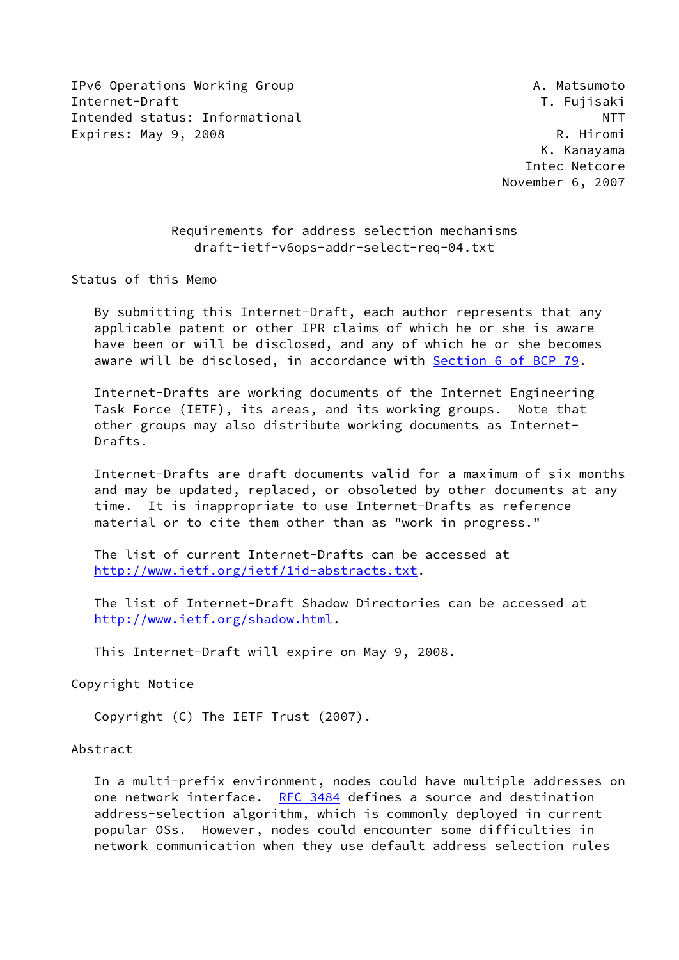IPv6 Operations Working Group **A. Matsumoto** Internet-Draft T. Fujisaki Intended status: Informational NTT Expires: May 9, 2008 R. Hiromi

 K. Kanayama Intec Netcore November 6, 2007

## Requirements for address selection mechanisms draft-ietf-v6ops-addr-select-req-04.txt

Status of this Memo

 By submitting this Internet-Draft, each author represents that any applicable patent or other IPR claims of which he or she is aware have been or will be disclosed, and any of which he or she becomes aware will be disclosed, in accordance with Section [6 of BCP 79.](https://datatracker.ietf.org/doc/pdf/bcp79#section-6)

 Internet-Drafts are working documents of the Internet Engineering Task Force (IETF), its areas, and its working groups. Note that other groups may also distribute working documents as Internet- Drafts.

 Internet-Drafts are draft documents valid for a maximum of six months and may be updated, replaced, or obsoleted by other documents at any time. It is inappropriate to use Internet-Drafts as reference material or to cite them other than as "work in progress."

 The list of current Internet-Drafts can be accessed at <http://www.ietf.org/ietf/1id-abstracts.txt>.

 The list of Internet-Draft Shadow Directories can be accessed at <http://www.ietf.org/shadow.html>.

This Internet-Draft will expire on May 9, 2008.

Copyright Notice

Copyright (C) The IETF Trust (2007).

Abstract

 In a multi-prefix environment, nodes could have multiple addresses on one network interface. [RFC 3484](https://datatracker.ietf.org/doc/pdf/rfc3484) defines a source and destination address-selection algorithm, which is commonly deployed in current popular OSs. However, nodes could encounter some difficulties in network communication when they use default address selection rules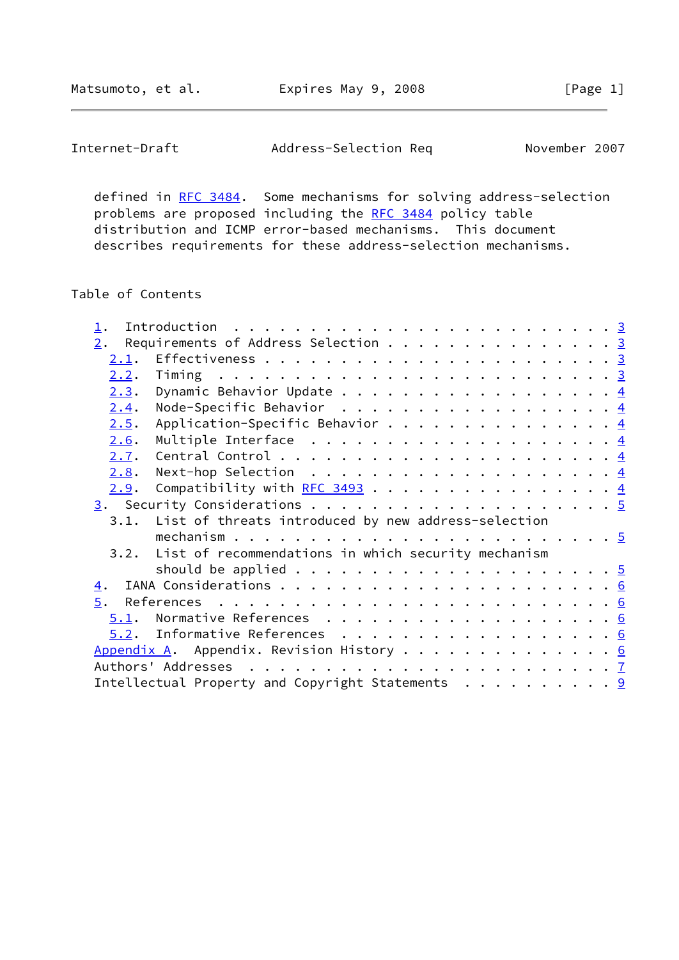Internet-Draft Address-Selection Req November 2007

defined in [RFC 3484.](https://datatracker.ietf.org/doc/pdf/rfc3484) Some mechanisms for solving address-selection problems are proposed including the [RFC 3484](https://datatracker.ietf.org/doc/pdf/rfc3484) policy table distribution and ICMP error-based mechanisms. This document describes requirements for these address-selection mechanisms.

# Table of Contents

|  | 3.1. List of threats introduced by new address-selection<br>List of recommendations in which security mechanism | Introduction $\ldots \ldots \ldots \ldots \ldots \ldots \ldots \ldots \ldots \frac{3}{2}$<br>Requirements of Address Selection 3<br>Dynamic Behavior Update $\frac{4}{5}$<br>Node-Specific Behavior $\frac{4}{5}$<br>Application-Specific Behavior $\frac{4}{5}$<br>Multiple Interface $\dots \dots \dots \dots \dots \dots \dots \dots$<br>Next-hop Selection $\dots \dots \dots \dots \dots \dots \dots \dots$<br>Compatibility with <u>RFC 3493</u> 4<br>$5.2$ . Informative References 6<br>Appendix A. Appendix. Revision History 6<br>Intellectual Property and Copyright Statements 9 |
|--|-----------------------------------------------------------------------------------------------------------------|----------------------------------------------------------------------------------------------------------------------------------------------------------------------------------------------------------------------------------------------------------------------------------------------------------------------------------------------------------------------------------------------------------------------------------------------------------------------------------------------------------------------------------------------------------------------------------------------|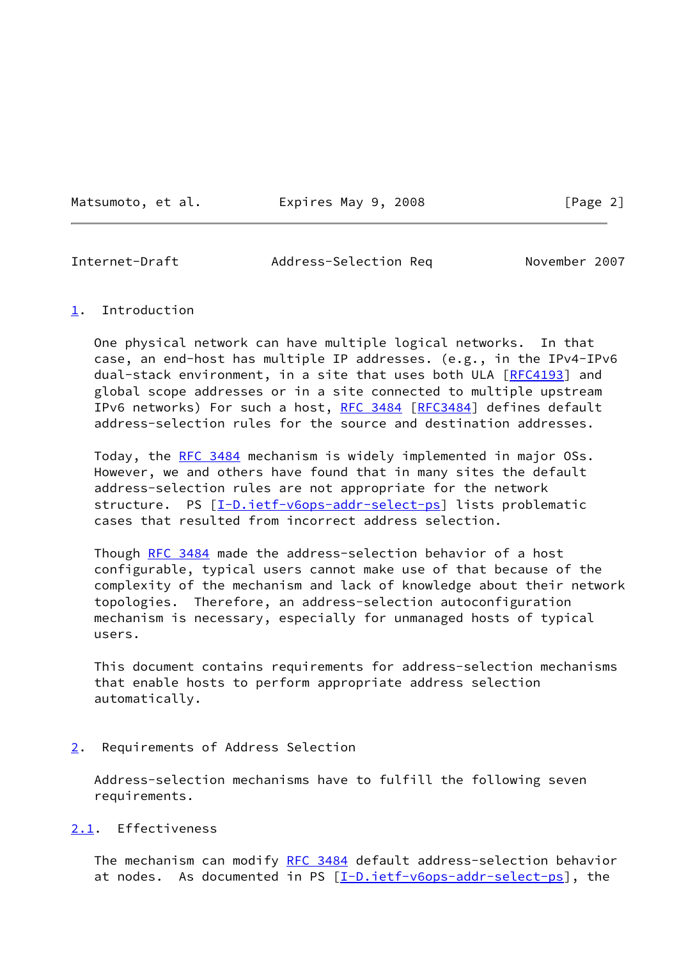Matsumoto, et al. Expires May 9, 2008 [Page 2]

<span id="page-2-1"></span>Internet-Draft Address-Selection Req November 2007

### <span id="page-2-0"></span>[1](#page-2-0). Introduction

 One physical network can have multiple logical networks. In that case, an end-host has multiple IP addresses. (e.g., in the IPv4-IPv6 dual-stack environment, in a site that uses both ULA [\[RFC4193](https://datatracker.ietf.org/doc/pdf/rfc4193)] and global scope addresses or in a site connected to multiple upstream IPv6 networks) For such a host, [RFC 3484](https://datatracker.ietf.org/doc/pdf/rfc3484) [\[RFC3484](https://datatracker.ietf.org/doc/pdf/rfc3484)] defines default address-selection rules for the source and destination addresses.

 Today, the [RFC 3484](https://datatracker.ietf.org/doc/pdf/rfc3484) mechanism is widely implemented in major OSs. However, we and others have found that in many sites the default address-selection rules are not appropriate for the network structure. PS [\[I-D.ietf-v6ops-addr-select-ps](#page-6-5)] lists problematic cases that resulted from incorrect address selection.

Though [RFC 3484](https://datatracker.ietf.org/doc/pdf/rfc3484) made the address-selection behavior of a host configurable, typical users cannot make use of that because of the complexity of the mechanism and lack of knowledge about their network topologies. Therefore, an address-selection autoconfiguration mechanism is necessary, especially for unmanaged hosts of typical users.

 This document contains requirements for address-selection mechanisms that enable hosts to perform appropriate address selection automatically.

<span id="page-2-2"></span>[2](#page-2-2). Requirements of Address Selection

 Address-selection mechanisms have to fulfill the following seven requirements.

### <span id="page-2-3"></span>[2.1](#page-2-3). Effectiveness

The mechanism can modify [RFC 3484](https://datatracker.ietf.org/doc/pdf/rfc3484) default address-selection behavior at nodes. As documented in PS [\[I-D.ietf-v6ops-addr-select-ps](#page-6-5)], the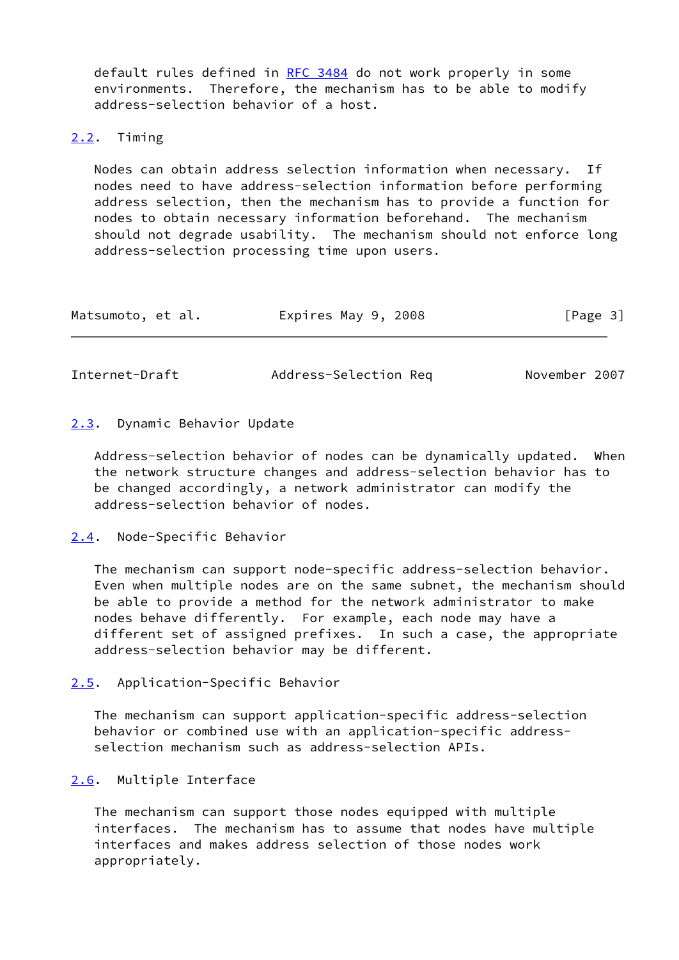default rules defined in [RFC 3484](https://datatracker.ietf.org/doc/pdf/rfc3484) do not work properly in some environments. Therefore, the mechanism has to be able to modify address-selection behavior of a host.

#### <span id="page-3-0"></span>[2.2](#page-3-0). Timing

 Nodes can obtain address selection information when necessary. If nodes need to have address-selection information before performing address selection, then the mechanism has to provide a function for nodes to obtain necessary information beforehand. The mechanism should not degrade usability. The mechanism should not enforce long address-selection processing time upon users.

| Matsumoto, et al. | Expires May 9, 2008 | [Page 3] |
|-------------------|---------------------|----------|
|                   |                     |          |

<span id="page-3-2"></span>Internet-Draft Address-Selection Req November 2007

### <span id="page-3-1"></span>[2.3](#page-3-1). Dynamic Behavior Update

 Address-selection behavior of nodes can be dynamically updated. When the network structure changes and address-selection behavior has to be changed accordingly, a network administrator can modify the address-selection behavior of nodes.

### <span id="page-3-3"></span>[2.4](#page-3-3). Node-Specific Behavior

 The mechanism can support node-specific address-selection behavior. Even when multiple nodes are on the same subnet, the mechanism should be able to provide a method for the network administrator to make nodes behave differently. For example, each node may have a different set of assigned prefixes. In such a case, the appropriate address-selection behavior may be different.

 The mechanism can support application-specific address-selection behavior or combined use with an application-specific address selection mechanism such as address-selection APIs.

## <span id="page-3-5"></span>[2.6](#page-3-5). Multiple Interface

 The mechanism can support those nodes equipped with multiple interfaces. The mechanism has to assume that nodes have multiple interfaces and makes address selection of those nodes work appropriately.

<span id="page-3-4"></span>[<sup>2.5</sup>](#page-3-4). Application-Specific Behavior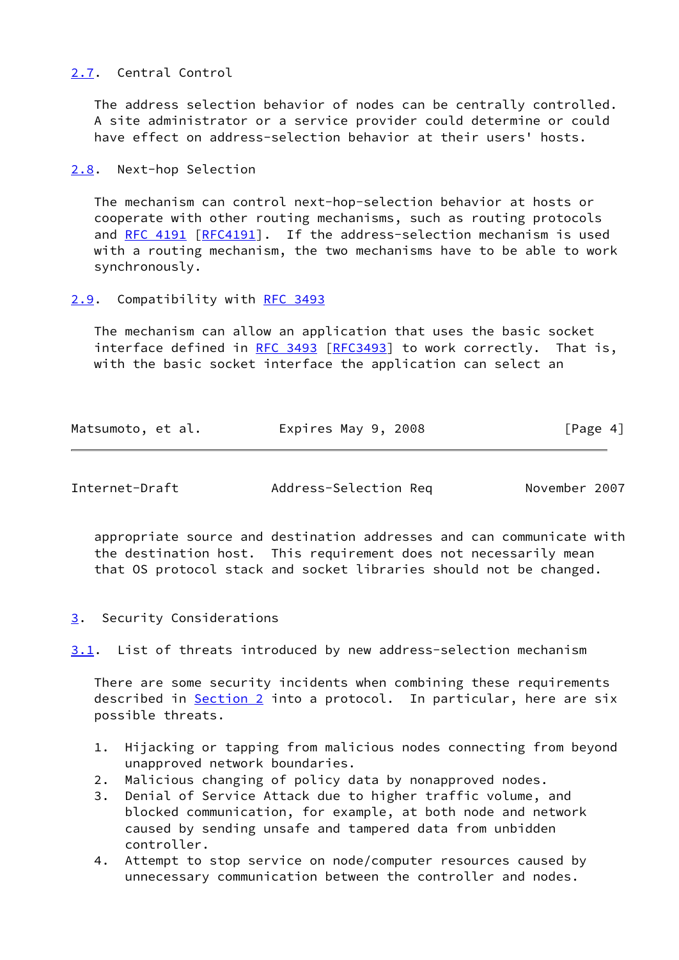## <span id="page-4-0"></span>[2.7](#page-4-0). Central Control

 The address selection behavior of nodes can be centrally controlled. A site administrator or a service provider could determine or could have effect on address-selection behavior at their users' hosts.

<span id="page-4-1"></span>[2.8](#page-4-1). Next-hop Selection

 The mechanism can control next-hop-selection behavior at hosts or cooperate with other routing mechanisms, such as routing protocols and [RFC 4191 \[RFC4191](https://datatracker.ietf.org/doc/pdf/rfc4191)]. If the address-selection mechanism is used with a routing mechanism, the two mechanisms have to be able to work synchronously.

### <span id="page-4-2"></span>[2.9](#page-4-2). Compatibility with [RFC 3493](https://datatracker.ietf.org/doc/pdf/rfc3493)

 The mechanism can allow an application that uses the basic socket interface defined in [RFC 3493](https://datatracker.ietf.org/doc/pdf/rfc3493) [[RFC3493](https://datatracker.ietf.org/doc/pdf/rfc3493)] to work correctly. That is, with the basic socket interface the application can select an

| Matsumoto, et al. | Expires May 9, 2008 | [Page 4] |
|-------------------|---------------------|----------|
|-------------------|---------------------|----------|

<span id="page-4-4"></span>Internet-Draft Address-Selection Req November 2007

 appropriate source and destination addresses and can communicate with the destination host. This requirement does not necessarily mean that OS protocol stack and socket libraries should not be changed.

<span id="page-4-3"></span>[3](#page-4-3). Security Considerations

<span id="page-4-5"></span>[3.1](#page-4-5). List of threats introduced by new address-selection mechanism

 There are some security incidents when combining these requirements described in [Section 2](#page-2-2) into a protocol. In particular, here are six possible threats.

- 1. Hijacking or tapping from malicious nodes connecting from beyond unapproved network boundaries.
- 2. Malicious changing of policy data by nonapproved nodes.
- 3. Denial of Service Attack due to higher traffic volume, and blocked communication, for example, at both node and network caused by sending unsafe and tampered data from unbidden controller.
- 4. Attempt to stop service on node/computer resources caused by unnecessary communication between the controller and nodes.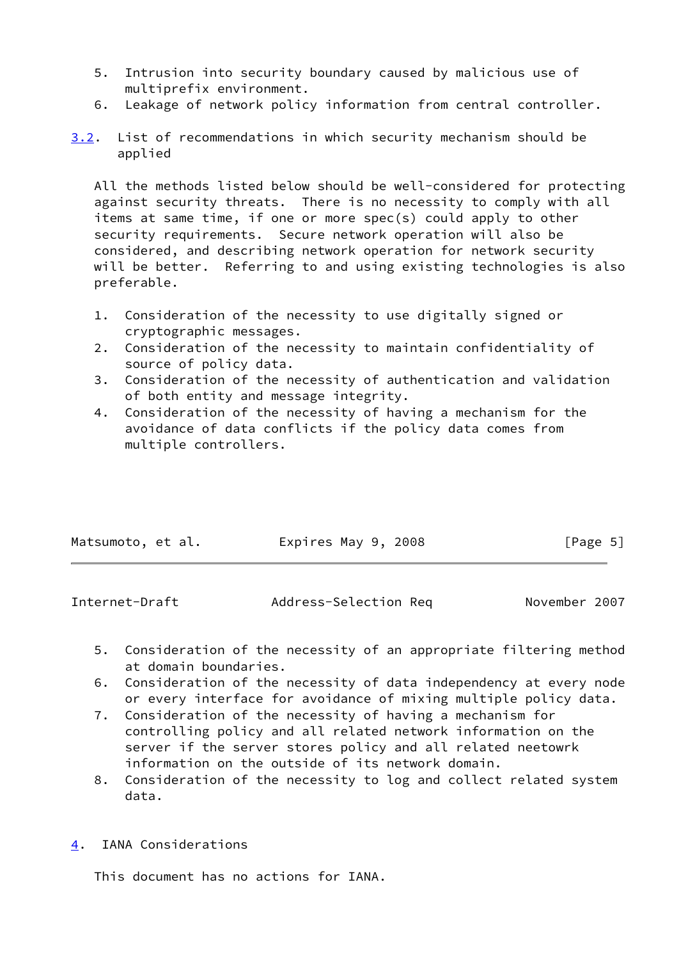- 5. Intrusion into security boundary caused by malicious use of multiprefix environment.
- 6. Leakage of network policy information from central controller.
- <span id="page-5-2"></span>[3.2](#page-5-2). List of recommendations in which security mechanism should be applied

 All the methods listed below should be well-considered for protecting against security threats. There is no necessity to comply with all items at same time, if one or more spec(s) could apply to other security requirements. Secure network operation will also be considered, and describing network operation for network security will be better. Referring to and using existing technologies is also preferable.

- 1. Consideration of the necessity to use digitally signed or cryptographic messages.
- 2. Consideration of the necessity to maintain confidentiality of source of policy data.
- 3. Consideration of the necessity of authentication and validation of both entity and message integrity.
- 4. Consideration of the necessity of having a mechanism for the avoidance of data conflicts if the policy data comes from multiple controllers.

| Matsumoto, et al. | Expires May 9, 2008 |  | [Page 5] |
|-------------------|---------------------|--|----------|

<span id="page-5-1"></span>Internet-Draft Address-Selection Req November 2007

- 5. Consideration of the necessity of an appropriate filtering method at domain boundaries.
- 6. Consideration of the necessity of data independency at every node or every interface for avoidance of mixing multiple policy data.
- 7. Consideration of the necessity of having a mechanism for controlling policy and all related network information on the server if the server stores policy and all related neetowrk information on the outside of its network domain.
- 8. Consideration of the necessity to log and collect related system data.
- <span id="page-5-0"></span>[4](#page-5-0). IANA Considerations

This document has no actions for IANA.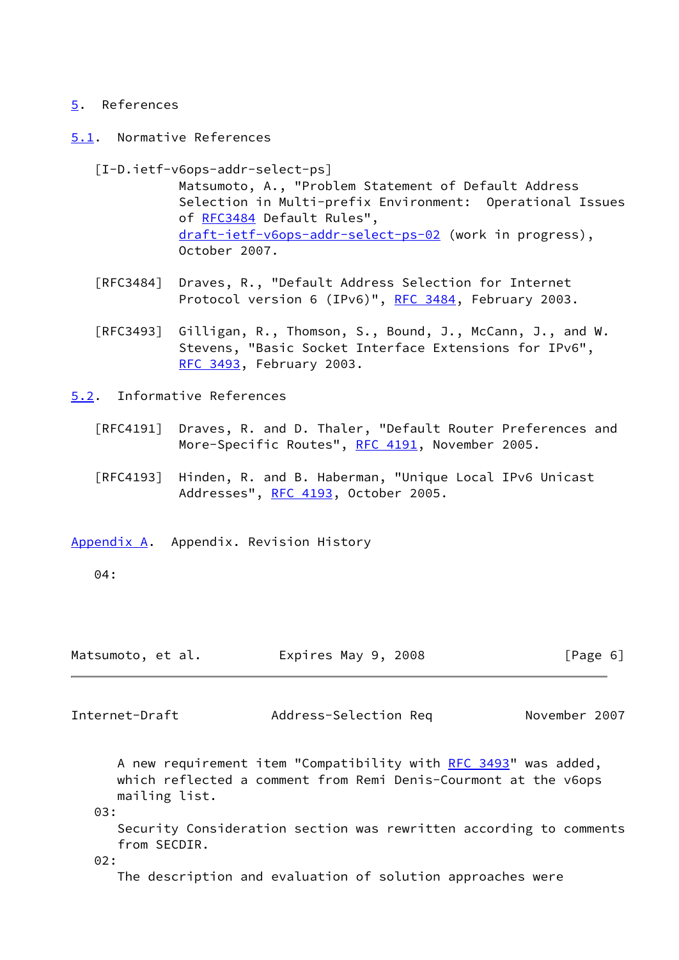### <span id="page-6-0"></span>[5](#page-6-0). References

<span id="page-6-1"></span>[5.1](#page-6-1). Normative References

<span id="page-6-5"></span> [I-D.ietf-v6ops-addr-select-ps] Matsumoto, A., "Problem Statement of Default Address Selection in Multi-prefix Environment: Operational Issues of [RFC3484](https://datatracker.ietf.org/doc/pdf/rfc3484) Default Rules", [draft-ietf-v6ops-addr-select-ps-02](https://datatracker.ietf.org/doc/pdf/draft-ietf-v6ops-addr-select-ps-02) (work in progress), October 2007.

- [RFC3484] Draves, R., "Default Address Selection for Internet Protocol version 6 (IPv6)", [RFC 3484,](https://datatracker.ietf.org/doc/pdf/rfc3484) February 2003.
- [RFC3493] Gilligan, R., Thomson, S., Bound, J., McCann, J., and W. Stevens, "Basic Socket Interface Extensions for IPv6", [RFC 3493,](https://datatracker.ietf.org/doc/pdf/rfc3493) February 2003.
- <span id="page-6-2"></span>[5.2](#page-6-2). Informative References
	- [RFC4191] Draves, R. and D. Thaler, "Default Router Preferences and More-Specific Routes", [RFC 4191](https://datatracker.ietf.org/doc/pdf/rfc4191), November 2005.
	- [RFC4193] Hinden, R. and B. Haberman, "Unique Local IPv6 Unicast Addresses", [RFC 4193,](https://datatracker.ietf.org/doc/pdf/rfc4193) October 2005.
- <span id="page-6-3"></span>[Appendix A.](#page-6-3) Appendix. Revision History

04:

| Matsumoto, et al. | Expires May 9, 2008 | [Page 6] |  |
|-------------------|---------------------|----------|--|
|-------------------|---------------------|----------|--|

<span id="page-6-4"></span>Internet-Draft Address-Selection Req November 2007

 A new requirement item "Compatibility with [RFC 3493](https://datatracker.ietf.org/doc/pdf/rfc3493)" was added, which reflected a comment from Remi Denis-Courmont at the v6ops mailing list.

03:

 Security Consideration section was rewritten according to comments from SECDIR.

02:

The description and evaluation of solution approaches were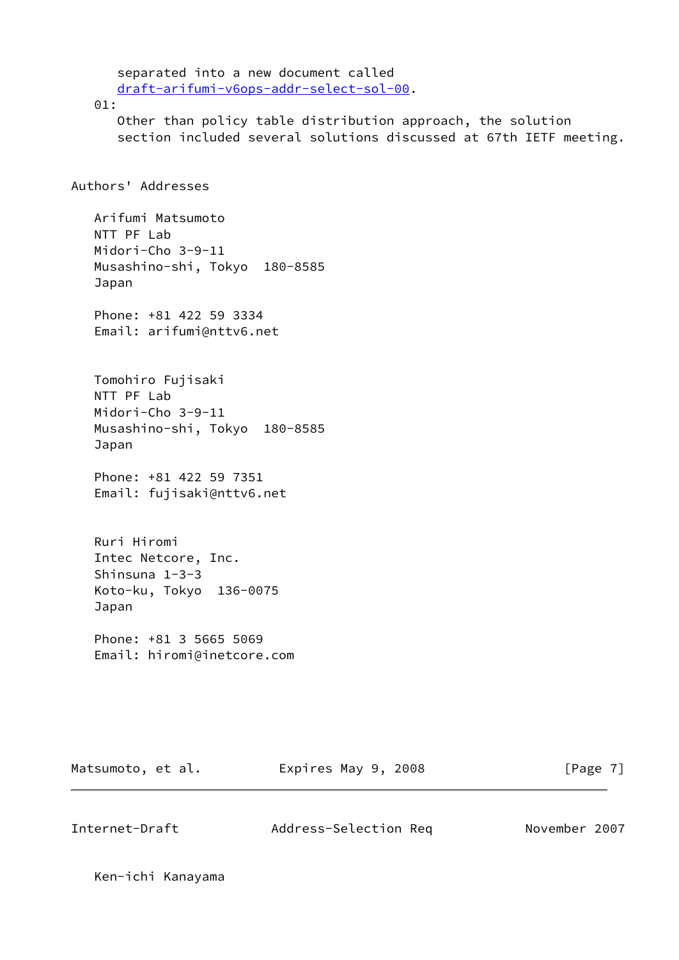separated into a new document called [draft-arifumi-v6ops-addr-select-sol-00](https://datatracker.ietf.org/doc/pdf/draft-arifumi-v6ops-addr-select-sol-00). 01: Other than policy table distribution approach, the solution section included several solutions discussed at 67th IETF meeting. Authors' Addresses Arifumi Matsumoto NTT PF Lab Midori-Cho 3-9-11 Musashino-shi, Tokyo 180-8585 Japan Phone: +81 422 59 3334 Email: arifumi@nttv6.net Tomohiro Fujisaki NTT PF Lab Midori-Cho 3-9-11 Musashino-shi, Tokyo 180-8585 Japan Phone: +81 422 59 7351 Email: fujisaki@nttv6.net Ruri Hiromi Intec Netcore, Inc. Shinsuna 1-3-3 Koto-ku, Tokyo 136-0075 Japan Phone: +81 3 5665 5069 Email: hiromi@inetcore.com Matsumoto, et al. Expires May 9, 2008 [Page 7]

Internet-Draft Address-Selection Req November 2007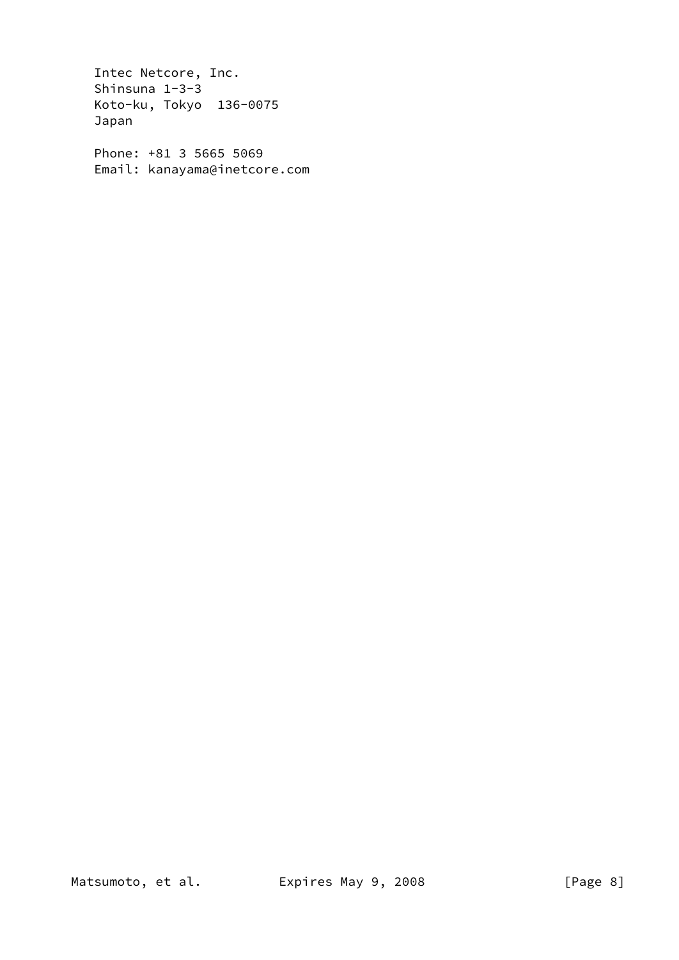Intec Netcore, Inc. Shinsuna 1-3-3 Koto-ku, Tokyo 136-0075 Japan

 Phone: +81 3 5665 5069 Email: kanayama@inetcore.com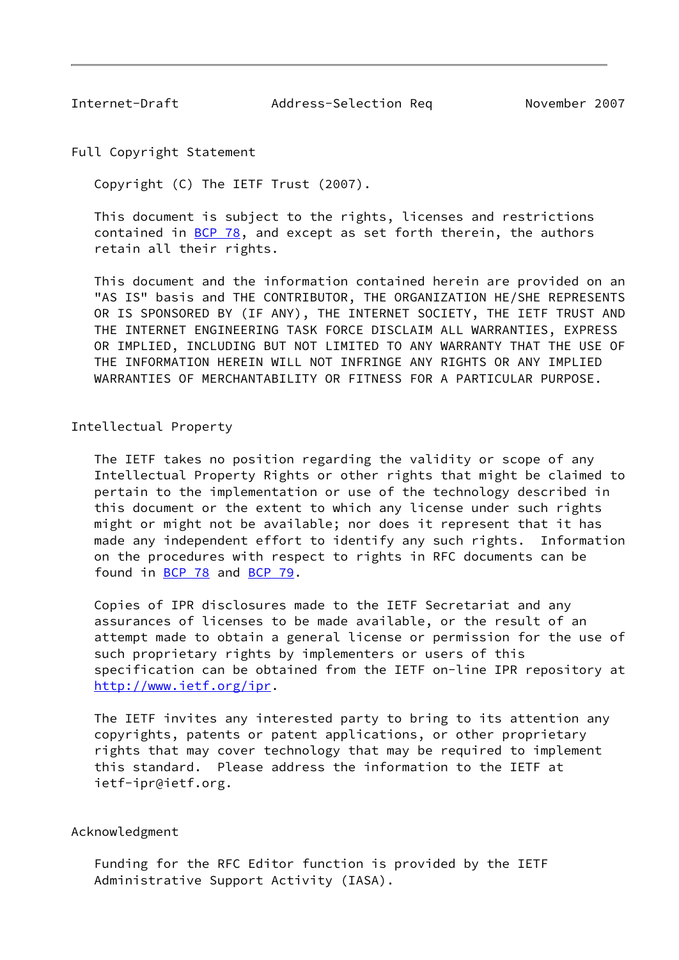<span id="page-9-0"></span>

Internet-Draft Address-Selection Req November 2007

Full Copyright Statement

Copyright (C) The IETF Trust (2007).

 This document is subject to the rights, licenses and restrictions contained in  $\underline{BCP}$  78, and except as set forth therein, the authors retain all their rights.

 This document and the information contained herein are provided on an "AS IS" basis and THE CONTRIBUTOR, THE ORGANIZATION HE/SHE REPRESENTS OR IS SPONSORED BY (IF ANY), THE INTERNET SOCIETY, THE IETF TRUST AND THE INTERNET ENGINEERING TASK FORCE DISCLAIM ALL WARRANTIES, EXPRESS OR IMPLIED, INCLUDING BUT NOT LIMITED TO ANY WARRANTY THAT THE USE OF THE INFORMATION HEREIN WILL NOT INFRINGE ANY RIGHTS OR ANY IMPLIED WARRANTIES OF MERCHANTABILITY OR FITNESS FOR A PARTICULAR PURPOSE.

Intellectual Property

 The IETF takes no position regarding the validity or scope of any Intellectual Property Rights or other rights that might be claimed to pertain to the implementation or use of the technology described in this document or the extent to which any license under such rights might or might not be available; nor does it represent that it has made any independent effort to identify any such rights. Information on the procedures with respect to rights in RFC documents can be found in [BCP 78](https://datatracker.ietf.org/doc/pdf/bcp78) and [BCP 79](https://datatracker.ietf.org/doc/pdf/bcp79).

 Copies of IPR disclosures made to the IETF Secretariat and any assurances of licenses to be made available, or the result of an attempt made to obtain a general license or permission for the use of such proprietary rights by implementers or users of this specification can be obtained from the IETF on-line IPR repository at <http://www.ietf.org/ipr>.

 The IETF invites any interested party to bring to its attention any copyrights, patents or patent applications, or other proprietary rights that may cover technology that may be required to implement this standard. Please address the information to the IETF at ietf-ipr@ietf.org.

Acknowledgment

 Funding for the RFC Editor function is provided by the IETF Administrative Support Activity (IASA).